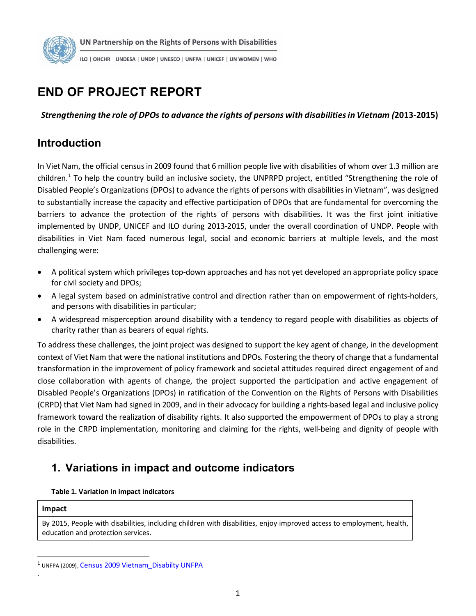

# **END OF PROJECT REPORT**

*Strengthening the role of DPOs to advance the rights of persons with disabilitiesin Vietnam (***2013-2015)** 

# **Introduction**

In Viet Nam, the official census in 2009 found that 6 million people live with disabilities of whom over 1.3 million are children.<sup>[1](#page-0-0)</sup> To help the country build an inclusive society, the UNPRPD project, entitled "Strengthening the role of Disabled People's Organizations (DPOs) to advance the rights of persons with disabilities in Vietnam", was designed to substantially increase the capacity and effective participation of DPOs that are fundamental for overcoming the barriers to advance the protection of the rights of persons with disabilities. It was the first joint initiative implemented by UNDP, UNICEF and ILO during 2013-2015, under the overall coordination of UNDP. People with disabilities in Viet Nam faced numerous legal, social and economic barriers at multiple levels, and the most challenging were:

- A political system which privileges top-down approaches and has not yet developed an appropriate policy space for civil society and DPOs;
- A legal system based on administrative control and direction rather than on empowerment of rights-holders, and persons with disabilities in particular;
- A widespread misperception around disability with a tendency to regard people with disabilities as objects of charity rather than as bearers of equal rights.

To address these challenges, the joint project was designed to support the key agent of change, in the development context of Viet Nam that were the national institutions and DPOs. Fostering the theory of change that a fundamental transformation in the improvement of policy framework and societal attitudes required direct engagement of and close collaboration with agents of change, the project supported the participation and active engagement of Disabled People's Organizations (DPOs) in ratification of the Convention on the Rights of Persons with Disabilities (CRPD) that Viet Nam had signed in 2009, and in their advocacy for building a rights-based legal and inclusive policy framework toward the realization of disability rights. It also supported the empowerment of DPOs to play a strong role in the CRPD implementation, monitoring and claiming for the rights, well-being and dignity of people with disabilities.

# **1. Variations in impact and outcome indicators**

### **Table 1. Variation in impact indicators**

### **Impact**

.

By 2015, People with disabilities, including children with disabilities, enjoy improved access to employment, health, education and protection services.

<span id="page-0-0"></span><sup>&</sup>lt;sup>1</sup> UNFPA (2009), Census 2009 Vietnam Disabilty UNFPA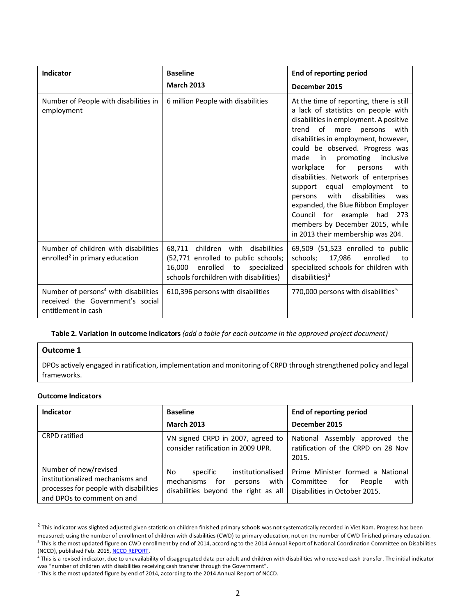| <b>Indicator</b>                                                                                            | <b>Baseline</b><br><b>March 2013</b>                                                                                                                          | <b>End of reporting period</b><br>December 2015                                                                                                                                                                                                                                                                                                                                                                                                                                                                                                                                       |
|-------------------------------------------------------------------------------------------------------------|---------------------------------------------------------------------------------------------------------------------------------------------------------------|---------------------------------------------------------------------------------------------------------------------------------------------------------------------------------------------------------------------------------------------------------------------------------------------------------------------------------------------------------------------------------------------------------------------------------------------------------------------------------------------------------------------------------------------------------------------------------------|
| Number of People with disabilities in<br>employment                                                         | 6 million People with disabilities                                                                                                                            | At the time of reporting, there is still<br>a lack of statistics on people with<br>disabilities in employment. A positive<br>trend of more persons with<br>disabilities in employment, however,<br>could be observed. Progress was<br>made<br>in<br>promoting inclusive<br>workplace<br>for<br>with<br>persons<br>disabilities. Network of enterprises<br>support equal employment<br>to<br>disabilities<br>with<br>persons<br>was<br>expanded, the Blue Ribbon Employer<br>Council for example<br>had<br>273<br>members by December 2015, while<br>in 2013 their membership was 204. |
| Number of children with disabilities<br>enrolled <sup>2</sup> in primary education                          | 68,711 children with disabilities<br>(52,771 enrolled to public schools;<br>enrolled<br>16.000<br>to<br>specialized<br>schools forchildren with disabilities) | 69,509 (51,523 enrolled to public<br>17,986<br>enrolled<br>schools;<br>to<br>specialized schools for children with<br>disabilities) $3$                                                                                                                                                                                                                                                                                                                                                                                                                                               |
| Number of persons <sup>4</sup> with disabilities<br>received the Government's social<br>entitlement in cash | 610,396 persons with disabilities                                                                                                                             | 770,000 persons with disabilities <sup>5</sup>                                                                                                                                                                                                                                                                                                                                                                                                                                                                                                                                        |

**Table 2. Variation in outcome indicators** *(add a table for each outcome in the approved project document)* 

#### **Outcome 1**

DPOs actively engaged in ratification, implementation and monitoring of CRPD through strengthened policy and legal frameworks.

#### **Outcome Indicators**

 $\overline{a}$ 

| <b>Indicator</b>                                                                                                                  | <b>Baseline</b>                                                                                                  | End of reporting period                                                                                 |
|-----------------------------------------------------------------------------------------------------------------------------------|------------------------------------------------------------------------------------------------------------------|---------------------------------------------------------------------------------------------------------|
|                                                                                                                                   | <b>March 2013</b>                                                                                                | December 2015                                                                                           |
| <b>CRPD</b> ratified                                                                                                              | VN signed CRPD in 2007, agreed to<br>consider ratification in 2009 UPR.                                          | National Assembly approved the<br>ratification of the CRPD on 28 Nov<br>2015.                           |
| Number of new/revised<br>institutionalized mechanisms and<br>processes for people with disabilities<br>and DPOs to comment on and | institutionalised<br>specific<br>No<br>mechanisms for<br>with<br>persons<br>disabilities beyond the right as all | Prime Minister formed a National<br>for<br>with<br>Committee<br>People<br>Disabilities in October 2015. |

<span id="page-1-0"></span> $2$  This indicator was slighted adjusted given statistic on children finished primary schools was not systematically recorded in Viet Nam. Progress has been measured; using the number of enrollment of children with disabilities (CWD) to primary education, not on the number of CWD finished primary education. <sup>3</sup> This is the most updated figure on CWD enrollment by end of 2014, according to the 2014 Annual Report of National Coordination Committee on Disabilities (NCCD), published Feb. 2015, NCCD REPORT.

<span id="page-1-2"></span><span id="page-1-1"></span><sup>&</sup>lt;sup>4</sup> This is a revised indicator, due to unavailability of disaggregated data per adult and children with disabilities who received cash transfer. The initial indicator was "number of children with disabilities receiving cash transfer through the Government".

<span id="page-1-3"></span><sup>&</sup>lt;sup>5</sup> This is the most updated figure by end of 2014, according to the 2014 Annual Report of NCCD.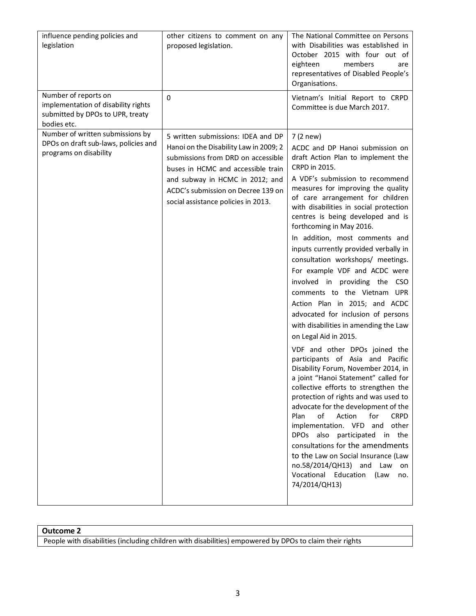| influence pending policies and<br>legislation                                                                  | other citizens to comment on any<br>proposed legislation.                                                                                                                                                                                                                | The National Committee on Persons<br>with Disabilities was established in<br>October 2015 with four out of<br>members<br>eighteen<br>are<br>representatives of Disabled People's<br>Organisations.                                                                                                                                                                                                                                                                                                                                                                                                                                                                                                                                                                                                                                                                                                                                                                                                                                                                                                                                                                                                                                                             |
|----------------------------------------------------------------------------------------------------------------|--------------------------------------------------------------------------------------------------------------------------------------------------------------------------------------------------------------------------------------------------------------------------|----------------------------------------------------------------------------------------------------------------------------------------------------------------------------------------------------------------------------------------------------------------------------------------------------------------------------------------------------------------------------------------------------------------------------------------------------------------------------------------------------------------------------------------------------------------------------------------------------------------------------------------------------------------------------------------------------------------------------------------------------------------------------------------------------------------------------------------------------------------------------------------------------------------------------------------------------------------------------------------------------------------------------------------------------------------------------------------------------------------------------------------------------------------------------------------------------------------------------------------------------------------|
| Number of reports on<br>implementation of disability rights<br>submitted by DPOs to UPR, treaty<br>bodies etc. | 0                                                                                                                                                                                                                                                                        | Vietnam's Initial Report to CRPD<br>Committee is due March 2017.                                                                                                                                                                                                                                                                                                                                                                                                                                                                                                                                                                                                                                                                                                                                                                                                                                                                                                                                                                                                                                                                                                                                                                                               |
| Number of written submissions by<br>DPOs on draft sub-laws, policies and<br>programs on disability             | 5 written submissions: IDEA and DP<br>Hanoi on the Disability Law in 2009; 2<br>submissions from DRD on accessible<br>buses in HCMC and accessible train<br>and subway in HCMC in 2012; and<br>ACDC's submission on Decree 139 on<br>social assistance policies in 2013. | 7 (2 new)<br>ACDC and DP Hanoi submission on<br>draft Action Plan to implement the<br>CRPD in 2015.<br>A VDF's submission to recommend<br>measures for improving the quality<br>of care arrangement for children<br>with disabilities in social protection<br>centres is being developed and is<br>forthcoming in May 2016.<br>In addition, most comments and<br>inputs currently provided verbally in<br>consultation workshops/ meetings.<br>For example VDF and ACDC were<br>involved in providing the CSO<br>comments to the Vietnam UPR<br>Action Plan in 2015; and ACDC<br>advocated for inclusion of persons<br>with disabilities in amending the Law<br>on Legal Aid in 2015.<br>VDF and other DPOs joined the<br>participants of Asia and Pacific<br>Disability Forum, November 2014, in<br>a joint "Hanoi Statement" called for<br>collective efforts to strengthen the<br>protection of rights and was used to<br>advocate for the development of the<br>of<br>Action<br>Plan<br>for<br><b>CRPD</b><br>implementation. VFD and<br>other<br>DPOs also participated<br>in the<br>consultations for the amendments<br>to the Law on Social Insurance (Law<br>no.58/2014/QH13) and<br>Law<br>on<br>Vocational Education<br>(Law<br>no.<br>74/2014/QH13) |

### **Outcome 2**

People with disabilities (including children with disabilities) empowered by DPOs to claim their rights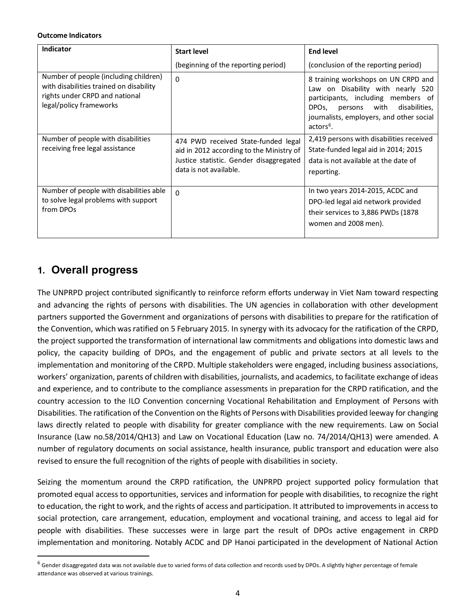#### **Outcome Indicators**

| <b>Indicator</b>                                                                                                                              | <b>Start level</b>                                                                                                                                   | <b>End level</b>                                                                                                                                                                                                           |
|-----------------------------------------------------------------------------------------------------------------------------------------------|------------------------------------------------------------------------------------------------------------------------------------------------------|----------------------------------------------------------------------------------------------------------------------------------------------------------------------------------------------------------------------------|
|                                                                                                                                               | (beginning of the reporting period)                                                                                                                  | (conclusion of the reporting period)                                                                                                                                                                                       |
| Number of people (including children)<br>with disabilities trained on disability<br>rights under CRPD and national<br>legal/policy frameworks | $\Omega$                                                                                                                                             | 8 training workshops on UN CRPD and<br>Law on Disability with nearly 520<br>participants, including members of<br>DPOs, persons with<br>disabilities,<br>journalists, employers, and other social<br>actors <sup>6</sup> . |
| Number of people with disabilities<br>receiving free legal assistance                                                                         | 474 PWD received State-funded legal<br>aid in 2012 according to the Ministry of<br>Justice statistic. Gender disaggregated<br>data is not available. | 2,419 persons with disabilities received<br>State-funded legal aid in 2014; 2015<br>data is not available at the date of<br>reporting.                                                                                     |
| Number of people with disabilities able<br>to solve legal problems with support<br>from DPOs                                                  | $\Omega$                                                                                                                                             | In two years 2014-2015, ACDC and<br>DPO-led legal aid network provided<br>their services to 3,886 PWDs (1878<br>women and 2008 men).                                                                                       |

## **1. Overall progress**

 $\overline{a}$ 

The UNPRPD project contributed significantly to reinforce reform efforts underway in Viet Nam toward respecting and advancing the rights of persons with disabilities. The UN agencies in collaboration with other development partners supported the Government and organizations of persons with disabilities to prepare for the ratification of the Convention, which was ratified on 5 February 2015. In synergy with its advocacy for the ratification of the CRPD, the project supported the transformation of international law commitments and obligations into domestic laws and policy, the capacity building of DPOs, and the engagement of public and private sectors at all levels to the implementation and monitoring of the CRPD. Multiple stakeholders were engaged, including business associations, workers' organization, parents of children with disabilities, journalists, and academics, to facilitate exchange of ideas and experience, and to contribute to the compliance assessments in preparation for the CRPD ratification, and the country accession to the ILO Convention concerning Vocational Rehabilitation and Employment of Persons with Disabilities. The ratification of the Convention on the Rights of Persons with Disabilities provided leeway for changing laws directly related to people with disability for greater compliance with the new requirements. Law on Social Insurance (Law no.58/2014/QH13) and Law on Vocational Education (Law no. 74/2014/QH13) were amended. A number of regulatory documents on social assistance, health insurance, public transport and education were also revised to ensure the full recognition of the rights of people with disabilities in society.

Seizing the momentum around the CRPD ratification, the UNPRPD project supported policy formulation that promoted equal access to opportunities, services and information for people with disabilities, to recognize the right to education, the right to work, and the rights of access and participation. It attributed to improvements in access to social protection, care arrangement, education, employment and vocational training, and access to legal aid for people with disabilities. These successes were in large part the result of DPOs active engagement in CRPD implementation and monitoring. Notably ACDC and DP Hanoi participated in the development of National Action

<span id="page-3-0"></span> $6$  Gender disaggregated data was not available due to varied forms of data collection and records used by DPOs. A slightly higher percentage of female attendance was observed at various trainings.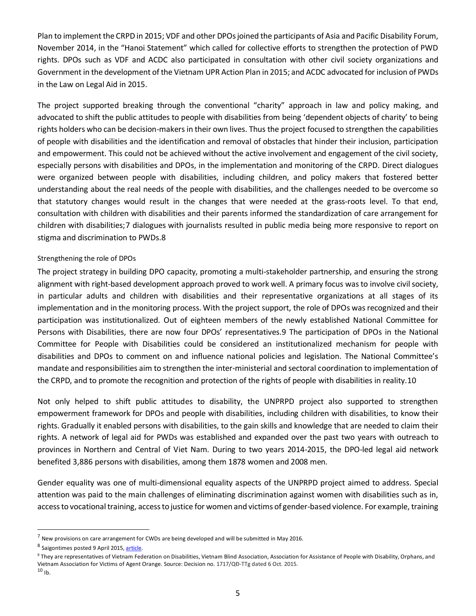Plan to implement the CRPD in 2015; VDF and other DPOs joined the participants of Asia and Pacific Disability Forum, November 2014, in the "Hanoi Statement" which called for collective efforts to strengthen the protection of PWD rights. DPOs such as VDF and ACDC also participated in consultation with other civil society organizations and Government in the development of the Vietnam UPR Action Plan in 2015; and ACDC advocated for inclusion of PWDs in the Law on Legal Aid in 2015.

The project supported breaking through the conventional "charity" approach in law and policy making, and advocated to shift the public attitudes to people with disabilities from being 'dependent objects of charity' to being rights holders who can be decision-makers in their own lives. Thus the project focused to strengthen the capabilities of people with disabilities and the identification and removal of obstacles that hinder their inclusion, participation and empowerment. This could not be achieved without the active involvement and engagement of the civil society, especially persons with disabilities and DPOs, in the implementation and monitoring of the CRPD. Direct dialogues were organized between people with disabilities, including children, and policy makers that fostered better understanding about the real needs of the people with disabilities, and the challenges needed to be overcome so that statutory changes would result in the changes that were needed at the grass-roots level. To that end, consultation with children with disabilities and their parents informed the standardization of care arrangement for children with disabilities;[7](#page-4-0) dialogues with journalists resulted in public media being more responsive to report on stigma and discrimination to PWDs.[8](#page-4-1)

### Strengthening the role of DPOs

The project strategy in building DPO capacity, promoting a multi-stakeholder partnership, and ensuring the strong alignment with right-based development approach proved to work well. A primary focus was to involve civil society, in particular adults and children with disabilities and their representative organizations at all stages of its implementation and in the monitoring process. With the project support, the role of DPOs was recognized and their participation was institutionalized. Out of eighteen members of the newly established National Committee for Persons with Disabilities, there are now four DPOs' representatives.[9](#page-4-2) The participation of DPOs in the National Committee for People with Disabilities could be considered an institutionalized mechanism for people with disabilities and DPOs to comment on and influence national policies and legislation. The National Committee's mandate and responsibilities aim to strengthen the inter-ministerial and sectoral coordination to implementation of the CRPD, and to promote the recognition and protection of the rights of people with disabilities in reality.[10](#page-4-3)

Not only helped to shift public attitudes to disability, the UNPRPD project also supported to strengthen empowerment framework for DPOs and people with disabilities, including children with disabilities, to know their rights. Gradually it enabled persons with disabilities, to the gain skills and knowledge that are needed to claim their rights. A network of legal aid for PWDs was established and expanded over the past two years with outreach to provinces in Northern and Central of Viet Nam. During to two years 2014-2015, the DPO-led legal aid network benefited 3,886 persons with disabilities, among them 1878 women and 2008 men.

Gender equality was one of multi-dimensional equality aspects of the UNPRPD project aimed to address. Special attention was paid to the main challenges of eliminating discrimination against women with disabilities such as in, access to vocational training, access to justice for women and victims of gender-based violence. For example, training

<span id="page-4-3"></span> $10$  Ib.

1

<span id="page-4-0"></span> $^7$  New provisions on care arrangement for CWDs are being developed and will be submitted in May 2016.

<span id="page-4-2"></span><span id="page-4-1"></span><sup>&</sup>lt;sup>8</sup> Saigontimes posted 9 April 2015, article.<br><sup>9</sup> They are representatives of Vietnam Federation on Disabilities, Vietnam Blind Association, Association for Assistance of People with Disability, Orphans, and Vietnam Association for Victims of Agent Orange. Source: Decision no. 1717/QĐ-TTg dated 6 Oct. 2015.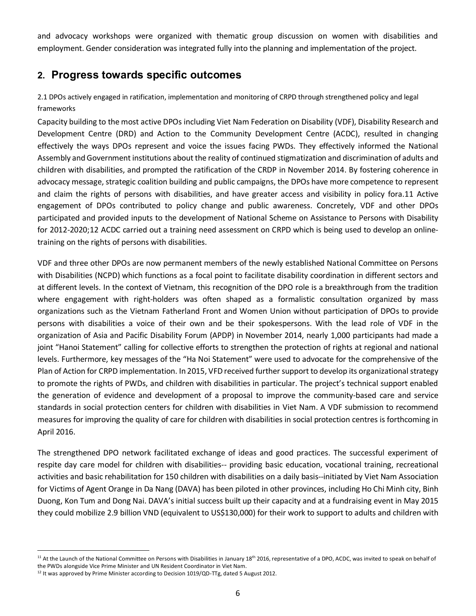and advocacy workshops were organized with thematic group discussion on women with disabilities and employment. Gender consideration was integrated fully into the planning and implementation of the project.

### **2. Progress towards specific outcomes**

2.1 DPOs actively engaged in ratification, implementation and monitoring of CRPD through strengthened policy and legal frameworks

Capacity building to the most active DPOs including Viet Nam Federation on Disability (VDF), Disability Research and Development Centre (DRD) and Action to the Community Development Centre (ACDC), resulted in changing effectively the ways DPOs represent and voice the issues facing PWDs. They effectively informed the National Assembly and Government institutions about the reality of continued stigmatization and discrimination of adults and children with disabilities, and prompted the ratification of the CRDP in November 2014. By fostering coherence in advocacy message, strategic coalition building and public campaigns, the DPOs have more competence to represent and claim the rights of persons with disabilities, and have greater access and visibility in policy fora.[11](#page-5-0) Active engagement of DPOs contributed to policy change and public awareness. Concretely, VDF and other DPOs participated and provided inputs to the development of National Scheme on Assistance to Persons with Disability for 2012-2020;[12](#page-5-1) ACDC carried out a training need assessment on CRPD which is being used to develop an onlinetraining on the rights of persons with disabilities.

VDF and three other DPOs are now permanent members of the newly established National Committee on Persons with Disabilities (NCPD) which functions as a focal point to facilitate disability coordination in different sectors and at different levels. In the context of Vietnam, this recognition of the DPO role is a breakthrough from the tradition where engagement with right-holders was often shaped as a formalistic consultation organized by mass organizations such as the Vietnam Fatherland Front and Women Union without participation of DPOs to provide persons with disabilities a voice of their own and be their spokespersons. With the lead role of VDF in the organization of Asia and Pacific Disability Forum (APDP) in November 2014, nearly 1,000 participants had made a joint "Hanoi Statement" calling for collective efforts to strengthen the protection of rights at regional and national levels. Furthermore, key messages of the "Ha Noi Statement" were used to advocate for the comprehensive of the Plan of Action for CRPD implementation. In 2015, VFD received further support to develop its organizational strategy to promote the rights of PWDs, and children with disabilities in particular. The project's technical support enabled the generation of evidence and development of a proposal to improve the community-based care and service standards in social protection centers for children with disabilities in Viet Nam. A VDF submission to recommend measures for improving the quality of care for children with disabilities in social protection centres is forthcoming in April 2016.

The strengthened DPO network facilitated exchange of ideas and good practices. The successful experiment of respite day care model for children with disabilities-- providing basic education, vocational training, recreational activities and basic rehabilitation for 150 children with disabilities on a daily basis--initiated by Viet Nam Association for Victims of Agent Orange in Da Nang (DAVA) has been piloted in other provinces, including Ho Chi Minh city, Binh Duong, Kon Tum and Dong Nai. DAVA's initial success built up their capacity and at a fundraising event in May 2015 they could mobilize 2.9 billion VND (equivalent to US\$130,000) for their work to support to adults and children with

1

<span id="page-5-0"></span> $11$  At the Launch of the National Committee on Persons with Disabilities in January  $18<sup>th</sup>$  2016, representative of a DPO, ACDC, was invited to speak on behalf of the PWDs alongside Vice Prime Minister and UN Resident Coordinator in Viet Nam.

<span id="page-5-1"></span> $12$  It was approved by Prime Minister according to Decision 1019/QD-TTg, dated 5 August 2012.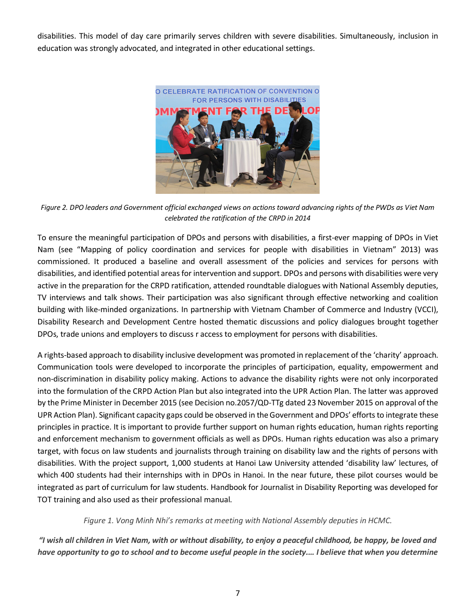disabilities. This model of day care primarily serves children with severe disabilities. Simultaneously, inclusion in education was strongly advocated, and integrated in other educational settings.



*Figure 2. DPO leaders and Government official exchanged views on actions toward advancing rights of the PWDs as Viet Nam celebrated the ratification of the CRPD in 2014*

To ensure the meaningful participation of DPOs and persons with disabilities, a first-ever mapping of DPOs in Viet Nam (see "Mapping of policy coordination and services for people with disabilities in Vietnam" 2013) was commissioned. It produced a baseline and overall assessment of the policies and services for persons with disabilities, and identified potential areas for intervention and support. DPOs and persons with disabilities were very active in the preparation for the CRPD ratification, attended roundtable dialogues with National Assembly deputies, TV interviews and talk shows. Their participation was also significant through effective networking and coalition building with like-minded organizations. In partnership with Vietnam Chamber of Commerce and Industry (VCCI), Disability Research and Development Centre hosted thematic discussions and policy dialogues brought together DPOs, trade unions and employers to discuss r access to employment for persons with disabilities.

A rights-based approach to disability inclusive development was promoted in replacement of the 'charity' approach. Communication tools were developed to incorporate the principles of participation, equality, empowerment and non-discrimination in disability policy making. Actions to advance the disability rights were not only incorporated into the formulation of the CRPD Action Plan but also integrated into the UPR Action Plan. The latter was approved by the Prime Minister in December 2015 (see Decision no.2057/QD-TTg dated 23 November 2015 on approval of the UPR Action Plan). Significant capacity gaps could be observed in the Government and DPOs' efforts to integrate these principles in practice. It is important to provide further support on human rights education, human rights reporting and enforcement mechanism to government officials as well as DPOs. Human rights education was also a primary target, with focus on law students and journalists through training on disability law and the rights of persons with disabilities. With the project support, 1,000 students at Hanoi Law University attended 'disability law' lectures, of which 400 students had their internships with in DPOs in Hanoi. In the near future, these pilot courses would be integrated as part of curriculum for law students. Handbook for Journalist in Disability Reporting was developed for TOT training and also used as their professional manual.

*Figure 1. Vong Minh Nhi's remarks at meeting with National Assembly deputies in HCMC.*

*"I wish all children in Viet Nam, with or without disability, to enjoy a peaceful childhood, be happy, be loved and have opportunity to go to school and to become useful people in the society.… I believe that when you determine*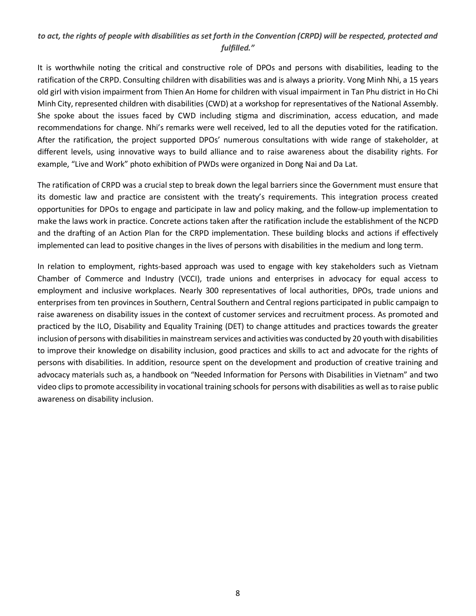### *to act, the rights of people with disabilities as set forth in the Convention (CRPD) will be respected, protected and fulfilled."*

It is worthwhile noting the critical and constructive role of DPOs and persons with disabilities, leading to the ratification of the CRPD. Consulting children with disabilities was and is always a priority. Vong Minh Nhi, a 15 years old girl with vision impairment from Thien An Home for children with visual impairment in Tan Phu district in Ho Chi Minh City, represented children with disabilities (CWD) at a workshop for representatives of the National Assembly. She spoke about the issues faced by CWD including stigma and discrimination, access education, and made recommendations for change. Nhi's remarks were well received, led to all the deputies voted for the ratification. After the ratification, the project supported DPOs' numerous consultations with wide range of stakeholder, at different levels, using innovative ways to build alliance and to raise awareness about the disability rights. For example, "Live and Work" photo exhibition of PWDs were organized in Dong Nai and Da Lat.

The ratification of CRPD was a crucial step to break down the legal barriers since the Government must ensure that its domestic law and practice are consistent with the treaty's requirements. This integration process created opportunities for DPOs to engage and participate in law and policy making, and the follow-up implementation to make the laws work in practice. Concrete actions taken after the ratification include the establishment of the NCPD and the drafting of an Action Plan for the CRPD implementation. These building blocks and actions if effectively implemented can lead to positive changes in the lives of persons with disabilities in the medium and long term.

In relation to employment, rights-based approach was used to engage with key stakeholders such as Vietnam Chamber of Commerce and Industry (VCCI), trade unions and enterprises in advocacy for equal access to employment and inclusive workplaces. Nearly 300 representatives of local authorities, DPOs, trade unions and enterprises from ten provinces in Southern, Central Southern and Central regions participated in public campaign to raise awareness on disability issues in the context of customer services and recruitment process. As promoted and practiced by the ILO, Disability and Equality Training (DET) to change attitudes and practices towards the greater inclusion of persons with disabilities in mainstream services and activities was conducted by 20 youth with disabilities to improve their knowledge on disability inclusion, good practices and skills to act and advocate for the rights of persons with disabilities. In addition, resource spent on the development and production of creative training and advocacy materials such as, a handbook on "Needed Information for Persons with Disabilities in Vietnam" and two video clips to promote accessibility in vocational training schools for persons with disabilities as well as to raise public awareness on disability inclusion.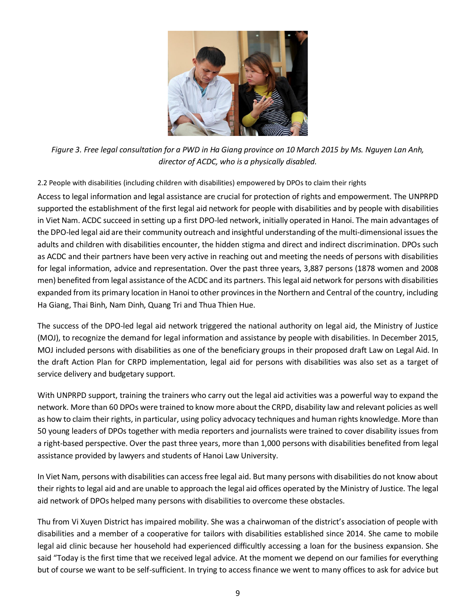

*Figure 3. Free legal consultation for a PWD in Ha Giang province on 10 March 2015 by Ms. Nguyen Lan Anh, director of ACDC, who is a physically disabled.*

### 2.2 People with disabilities (including children with disabilities) empowered by DPOs to claim their rights

Access to legal information and legal assistance are crucial for protection of rights and empowerment. The UNPRPD supported the establishment of the first legal aid network for people with disabilities and by people with disabilities in Viet Nam. ACDC succeed in setting up a first DPO-led network, initially operated in Hanoi. The main advantages of the DPO-led legal aid are their community outreach and insightful understanding of the multi-dimensional issues the adults and children with disabilities encounter, the hidden stigma and direct and indirect discrimination. DPOs such as ACDC and their partners have been very active in reaching out and meeting the needs of persons with disabilities for legal information, advice and representation. Over the past three years, 3,887 persons (1878 women and 2008 men) benefited from legal assistance of the ACDC and its partners. This legal aid network for persons with disabilities expanded from its primary location in Hanoi to other provinces in the Northern and Central of the country, including Ha Giang, Thai Binh, Nam Dinh, Quang Tri and Thua Thien Hue.

The success of the DPO-led legal aid network triggered the national authority on legal aid, the Ministry of Justice (MOJ), to recognize the demand for legal information and assistance by people with disabilities. In December 2015, MOJ included persons with disabilities as one of the beneficiary groups in their proposed draft Law on Legal Aid. In the draft Action Plan for CRPD implementation, legal aid for persons with disabilities was also set as a target of service delivery and budgetary support.

With UNPRPD support, training the trainers who carry out the legal aid activities was a powerful way to expand the network. More than 60 DPOs were trained to know more about the CRPD, disability law and relevant policies as well as how to claim their rights, in particular, using policy advocacy techniques and human rights knowledge. More than 50 young leaders of DPOs together with media reporters and journalists were trained to cover disability issues from a right-based perspective. Over the past three years, more than 1,000 persons with disabilities benefited from legal assistance provided by lawyers and students of Hanoi Law University.

In Viet Nam, persons with disabilities can access free legal aid. But many persons with disabilities do not know about their rights to legal aid and are unable to approach the legal aid offices operated by the Ministry of Justice. The legal aid network of DPOs helped many persons with disabilities to overcome these obstacles.

Thu from Vi Xuyen District has impaired mobility. She was a chairwoman of the district's association of people with disabilities and a member of a cooperative for tailors with disabilities established since 2014. She came to mobile legal aid clinic because her household had experienced difficultly accessing a loan for the business expansion. She said "Today is the first time that we received legal advice. At the moment we depend on our families for everything but of course we want to be self-sufficient. In trying to access finance we went to many offices to ask for advice but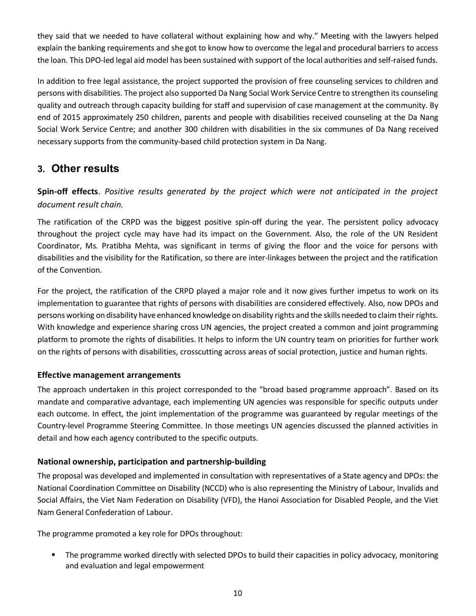they said that we needed to have collateral without explaining how and why." Meeting with the lawyers helped explain the banking requirements and she got to know how to overcome the legal and procedural barriers to access the loan. This DPO-led legal aid model has been sustained with support of the local authorities and self-raised funds.

In addition to free legal assistance, the project supported the provision of free counseling services to children and persons with disabilities. The project also supported Da Nang Social Work Service Centre to strengthen its counseling quality and outreach through capacity building for staff and supervision of case management at the community. By end of 2015 approximately 250 children, parents and people with disabilities received counseling at the Da Nang Social Work Service Centre; and another 300 children with disabilities in the six communes of Da Nang received necessary supports from the community-based child protection system in Da Nang.

# **3. Other results**

**Spin-off effects**. *Positive results generated by the project which were not anticipated in the project document result chain.*

The ratification of the CRPD was the biggest positive spin-off during the year. The persistent policy advocacy throughout the project cycle may have had its impact on the Government. Also, the role of the UN Resident Coordinator, Ms. Pratibha Mehta, was significant in terms of giving the floor and the voice for persons with disabilities and the visibility for the Ratification, so there are inter-linkages between the project and the ratification of the Convention.

For the project, the ratification of the CRPD played a major role and it now gives further impetus to work on its implementation to guarantee that rights of persons with disabilities are considered effectively. Also, now DPOs and persons working on disability have enhanced knowledge on disability rights and the skills needed to claim their rights. With knowledge and experience sharing cross UN agencies, the project created a common and joint programming platform to promote the rights of disabilities. It helps to inform the UN country team on priorities for further work on the rights of persons with disabilities, crosscutting across areas of social protection, justice and human rights.

### **Effective management arrangements**

The approach undertaken in this project corresponded to the "broad based programme approach". Based on its mandate and comparative advantage, each implementing UN agencies was responsible for specific outputs under each outcome. In effect, the joint implementation of the programme was guaranteed by regular meetings of the Country-level Programme Steering Committee. In those meetings UN agencies discussed the planned activities in detail and how each agency contributed to the specific outputs.

### **National ownership, participation and partnership-building**

The proposal was developed and implemented in consultation with representatives of a State agency and DPOs: the National Coordination Committee on Disability (NCCD) who is also representing the Ministry of Labour, Invalids and Social Affairs, the Viet Nam Federation on Disability (VFD), the Hanoi Association for Disabled People, and the Viet Nam General Confederation of Labour.

The programme promoted a key role for DPOs throughout:

 The programme worked directly with selected DPOs to build their capacities in policy advocacy, monitoring and evaluation and legal empowerment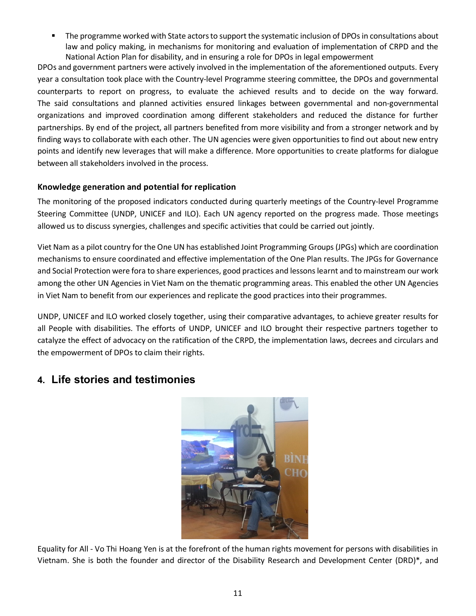The programme worked with State actors to support the systematic inclusion of DPOs in consultations about law and policy making, in mechanisms for monitoring and evaluation of implementation of CRPD and the National Action Plan for disability, and in ensuring a role for DPOs in legal empowerment

DPOs and government partners were actively involved in the implementation of the aforementioned outputs. Every year a consultation took place with the Country-level Programme steering committee, the DPOs and governmental counterparts to report on progress, to evaluate the achieved results and to decide on the way forward. The said consultations and planned activities ensured linkages between governmental and non-governmental organizations and improved coordination among different stakeholders and reduced the distance for further partnerships. By end of the project, all partners benefited from more visibility and from a stronger network and by finding ways to collaborate with each other. The UN agencies were given opportunities to find out about new entry points and identify new leverages that will make a difference. More opportunities to create platforms for dialogue between all stakeholders involved in the process.

### **Knowledge generation and potential for replication**

The monitoring of the proposed indicators conducted during quarterly meetings of the Country-level Programme Steering Committee (UNDP, UNICEF and ILO). Each UN agency reported on the progress made. Those meetings allowed us to discuss synergies, challenges and specific activities that could be carried out jointly.

Viet Nam as a pilot country for the One UN has established Joint Programming Groups (JPGs) which are coordination mechanisms to ensure coordinated and effective implementation of the One Plan results. The JPGs for Governance and Social Protection were fora to share experiences, good practices and lessons learnt and to mainstream our work among the other UN Agencies in Viet Nam on the thematic programming areas. This enabled the other UN Agencies in Viet Nam to benefit from our experiences and replicate the good practices into their programmes.

UNDP, UNICEF and ILO worked closely together, using their comparative advantages, to achieve greater results for all People with disabilities. The efforts of UNDP, UNICEF and ILO brought their respective partners together to catalyze the effect of advocacy on the ratification of the CRPD, the implementation laws, decrees and circulars and the empowerment of DPOs to claim their rights.

# **4. Life stories and testimonies**



Equality for All - Vo Thi Hoang Yen is at the forefront of the human rights movement for persons with disabilities in Vietnam. She is both the founder and director of the Disability Research and Development Center (DRD)\*, and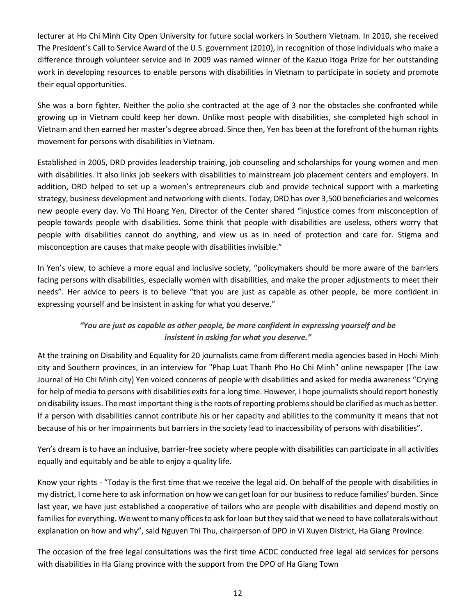lecturer at Ho Chi Minh City Open University for future social workers in Southern Vietnam. In 2010, she received The President's Call to Service Award of the U.S. government (2010), in recognition of those individuals who make a difference through volunteer service and in 2009 was named winner of the Kazuo Itoga Prize for her outstanding work in developing resources to enable persons with disabilities in Vietnam to participate in society and promote their equal opportunities.

She was a born fighter. Neither the polio she contracted at the age of 3 nor the obstacles she confronted while growing up in Vietnam could keep her down. Unlike most people with disabilities, she completed high school in Vietnam and then earned her master's degree abroad. Since then, Yen has been at the forefront of the human rights movement for persons with disabilities in Vietnam.

Established in 2005, DRD provides leadership training, job counseling and scholarships for young women and men with disabilities. It also links job seekers with disabilities to mainstream job placement centers and employers. In addition, DRD helped to set up a women's entrepreneurs club and provide technical support with a marketing strategy, business development and networking with clients. Today, DRD has over 3,500 beneficiaries and welcomes new people every day. Vo Thi Hoang Yen, Director of the Center shared "injustice comes from misconception of people towards people with disabilities. Some think that people with disabilities are useless, others worry that people with disabilities cannot do anything, and view us as in need of protection and care for. Stigma and misconception are causes that make people with disabilities invisible."

In Yen's view, to achieve a more equal and inclusive society, "policymakers should be more aware of the barriers facing persons with disabilities, especially women with disabilities, and make the proper adjustments to meet their needs". Her advice to peers is to believe "that you are just as capable as other people, be more confident in expressing yourself and be insistent in asking for what you deserve."

### *"You are just as capable as other people, be more confident in expressing yourself and be insistent in asking for what you deserve."*

At the training on Disability and Equality for 20 journalists came from different media agencies based in Hochi Minh city and Southern provinces, in an interview for "Phap Luat Thanh Pho Ho Chi Minh" online newspaper (The Law Journal of Ho Chi Minh city) Yen voiced concerns of people with disabilities and asked for media awareness "Crying for help of media to persons with disabilities exits for a long time. However, I hope journalists should report honestly on disability issues. The most important thing is the roots of reporting problems should be clarified as much as better. If a person with disabilities cannot contribute his or her capacity and abilities to the community it means that not because of his or her impairments but barriers in the society lead to inaccessibility of persons with disabilities".

Yen's dream is to have an inclusive, barrier-free society where people with disabilities can participate in all activities equally and equitably and be able to enjoy a quality life.

Know your rights - "Today is the first time that we receive the legal aid. On behalf of the people with disabilities in my district, I come here to ask information on how we can get loan for our business to reduce families' burden. Since last year, we have just established a cooperative of tailors who are people with disabilities and depend mostly on families for everything. We went to many offices to ask for loan but they said that we need to have collaterals without explanation on how and why", said Nguyen Thi Thu, chairperson of DPO in Vi Xuyen District, Ha Giang Province.

The occasion of the free legal consultations was the first time ACDC conducted free legal aid services for persons with disabilities in Ha Giang province with the support from the DPO of Ha Giang Town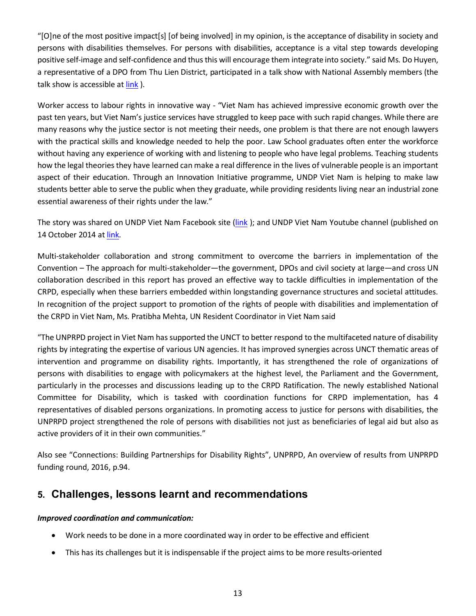"[O]ne of the most positive impact[s] [of being involved] in my opinion, is the acceptance of disability in society and persons with disabilities themselves. For persons with disabilities, acceptance is a vital step towards developing positive self-image and self-confidence and thus this will encourage them integrate into society." said Ms. Do Huyen, a representative of a DPO from Thu Lien District, participated in a talk show with National Assembly members (the talk show is accessible a[t link](https://www.youtube.com/watch?v=qm1uWelMT0o&feature=youtu.be) ).

Worker access to labour rights in innovative way - "Viet Nam has achieved impressive economic growth over the past ten years, but Viet Nam's justice services have struggled to keep pace with such rapid changes. While there are many reasons why the justice sector is not meeting their needs, one problem is that there are not enough lawyers with the practical skills and knowledge needed to help the poor. Law School graduates often enter the workforce without having any experience of working with and listening to people who have legal problems. Teaching students how the legal theories they have learned can make a real difference in the lives of vulnerable people is an important aspect of their education. Through an Innovation Initiative programme, UNDP Viet Nam is helping to make law students better able to serve the public when they graduate, while providing residents living near an industrial zone essential awareness of their rights under the law."

The story was shared on UNDP Viet Nam Facebook site [\(link](https://www.facebook.com/undpvietnam) ); and UNDP Viet Nam Youtube channel (published on 14 October 2014 a[t link.](https://www.youtube.com/watch?v=N7D0GZQc-CA)

Multi-stakeholder collaboration and strong commitment to overcome the barriers in implementation of the Convention – The approach for multi-stakeholder—the government, DPOs and civil society at large—and cross UN collaboration described in this report has proved an effective way to tackle difficulties in implementation of the CRPD, especially when these barriers embedded within longstanding governance structures and societal attitudes. In recognition of the project support to promotion of the rights of people with disabilities and implementation of the CRPD in Viet Nam, Ms. Pratibha Mehta, UN Resident Coordinator in Viet Nam said

"The UNPRPD project in Viet Nam has supported the UNCT to better respond to the multifaceted nature of disability rights by integrating the expertise of various UN agencies. It has improved synergies across UNCT thematic areas of intervention and programme on disability rights. Importantly, it has strengthened the role of organizations of persons with disabilities to engage with policymakers at the highest level, the Parliament and the Government, particularly in the processes and discussions leading up to the CRPD Ratification. The newly established National Committee for Disability, which is tasked with coordination functions for CRPD implementation, has 4 representatives of disabled persons organizations. In promoting access to justice for persons with disabilities, the UNPRPD project strengthened the role of persons with disabilities not just as beneficiaries of legal aid but also as active providers of it in their own communities."

Also see "Connections: Building Partnerships for Disability Rights", UNPRPD, An overview of results from UNPRPD funding round, 2016, p.94.

# **5. Challenges, lessons learnt and recommendations**

### *Improved coordination and communication:*

- Work needs to be done in a more coordinated way in order to be effective and efficient
- This has its challenges but it is indispensable if the project aims to be more results-oriented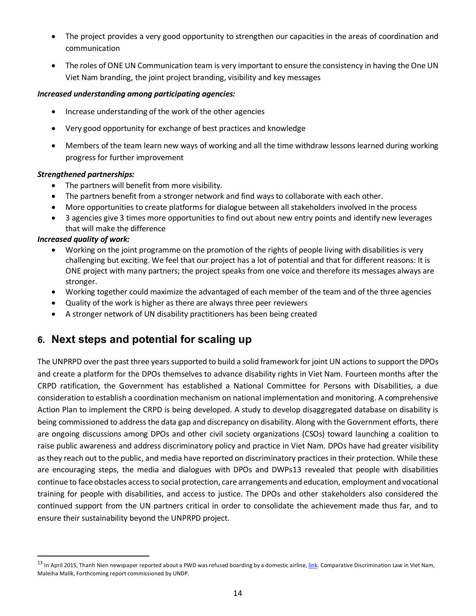- The project provides a very good opportunity to strengthen our capacities in the areas of coordination and communication
- The roles of ONE UN Communication team is very important to ensure the consistency in having the One UN Viet Nam branding, the joint project branding, visibility and key messages

### *Increased understanding among participating agencies:*

- Increase understanding of the work of the other agencies
- Very good opportunity for exchange of best practices and knowledge
- Members of the team learn new ways of working and all the time withdraw lessons learned during working progress for further improvement

### *Strengthened partnerships:*

- The partners will benefit from more visibility.
- The partners benefit from a stronger network and find ways to collaborate with each other.
- More opportunities to create platforms for dialogue between all stakeholders involved in the process
- 3 agencies give 3 times more opportunities to find out about new entry points and identify new leverages that will make the difference

### *Increased quality of work:*

 $\overline{a}$ 

- Working on the joint programme on the promotion of the rights of people living with disabilities is very challenging but exciting. We feel that our project has a lot of potential and that for different reasons: It is ONE project with many partners; the project speaks from one voice and therefore its messages always are stronger.
- Working together could maximize the advantaged of each member of the team and of the three agencies
- Quality of the work is higher as there are always three peer reviewers
- A stronger network of UN disability practitioners has been being created

# **6. Next steps and potential for scaling up**

The UNPRPD over the past three years supported to build a solid framework for joint UN actions to support the DPOs and create a platform for the DPOs themselves to advance disability rights in Viet Nam. Fourteen months after the CRPD ratification, the Government has established a National Committee for Persons with Disabilities, a due consideration to establish a coordination mechanism on national implementation and monitoring. A comprehensive Action Plan to implement the CRPD is being developed. A study to develop disaggregated database on disability is being commissioned to address the data gap and discrepancy on disability. Along with the Government efforts, there are ongoing discussions among DPOs and other civil society organizations (CSOs) toward launching a coalition to raise public awareness and address discriminatory policy and practice in Viet Nam. DPOs have had greater visibility as they reach out to the public, and media have reported on discriminatory practices in their protection. While these are encouraging steps, the media and dialogues with DPOs and DWPs[13](#page-13-0) revealed that people with disabilities continue to face obstacles access to social protection, care arrangements and education, employment and vocational training for people with disabilities, and access to justice. The DPOs and other stakeholders also considered the continued support from the UN partners critical in order to consolidate the achievement made thus far, and to ensure their sustainability beyond the UNPRPD project.

<span id="page-13-0"></span><sup>&</sup>lt;sup>13</sup> In April 2015, Thanh Nien newspaper reported about a PWD was refused boarding by a domestic airline[, link.](http://thanhnien.vn/thoi-su/tu-choi-van-chuyen-nguoi-khuyet-tat-2-nhan-vien-vietjet-bi-phat-547879.html) Comparative Discrimination Law in Viet Nam, Maleiha Malik, Forthcoming report commissioned by UNDP.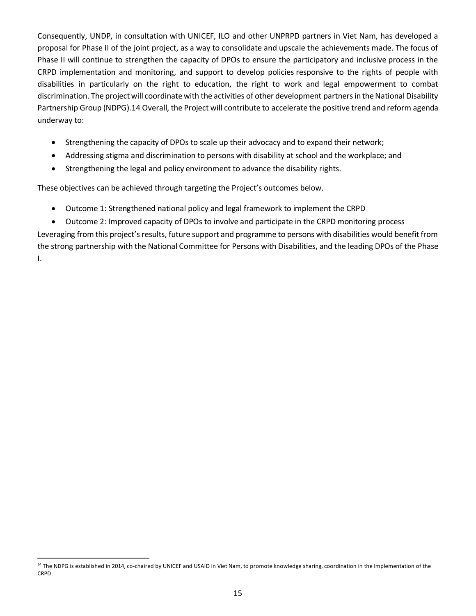Consequently, UNDP, in consultation with UNICEF, ILO and other UNPRPD partners in Viet Nam, has developed a proposal for Phase II of the joint project, as a way to consolidate and upscale the achievements made. The focus of Phase II will continue to strengthen the capacity of DPOs to ensure the participatory and inclusive process in the CRPD implementation and monitoring, and support to develop policies responsive to the rights of people with disabilities in particularly on the right to education, the right to work and legal empowerment to combat discrimination. The project will coordinate with the activities of other development partners in the National Disability Partnership Group (NDPG)[.14](#page-14-0) Overall, the Project will contribute to accelerate the positive trend and reform agenda underway to:

- Strengthening the capacity of DPOs to scale up their advocacy and to expand their network;
- Addressing stigma and discrimination to persons with disability at school and the workplace; and
- Strengthening the legal and policy environment to advance the disability rights.

These objectives can be achieved through targeting the Project's outcomes below.

- Outcome 1: Strengthened national policy and legal framework to implement the CRPD
- Outcome 2: Improved capacity of DPOs to involve and participate in the CRPD monitoring process

Leveraging from this project's results, future support and programme to persons with disabilities would benefit from the strong partnership with the National Committee for Persons with Disabilities, and the leading DPOs of the Phase I.

**.** 

<span id="page-14-0"></span><sup>&</sup>lt;sup>14</sup> The NDPG is established in 2014, co-chaired by UNICEF and USAID in Viet Nam, to promote knowledge sharing, coordination in the implementation of the CRPD.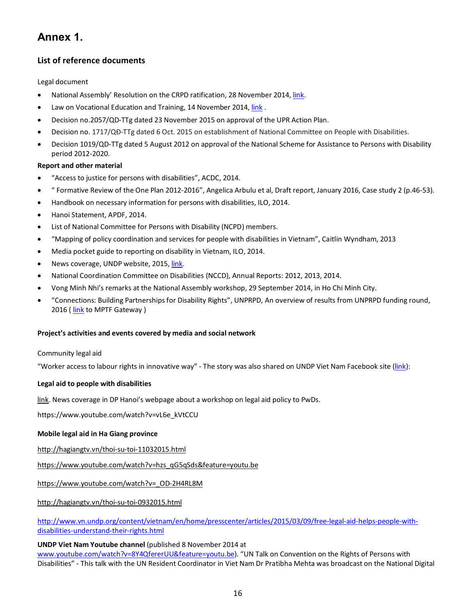# **Annex 1.**

### **List of reference documents**

### Legal document

- National Assembly' Resolution on the CRPD ratification, 28 November 2014[, link.](http://moj.gov.vn/vbpq/Lists/Vn%20bn%20php%20lut/View_Detail.aspx?ItemID=30241)
- Law on Vocational Education and Training, 14 November 2014[, link](http://www.moj.gov.vn/vbpq/Lists/Vn%20bn%20php%20lut/View_Detail.aspx?ItemID=30305).
- Decision no.2057/QD-TTg dated 23 November 2015 on approval of the UPR Action Plan.
- Decision no. 1717/QĐ-TTg dated 6 Oct. 2015 on establishment of National Committee on People with Disabilities.
- Decision 1019/QD-TTg dated 5 August 2012 on approval of the National Scheme for Assistance to Persons with Disability period 2012-2020.

### **Report and other material**

- "Access to justice for persons with disabilities", ACDC, 2014.
- " Formative Review of the One Plan 2012-2016", Angelica Arbulu et al, Draft report, January 2016, Case study 2 (p.46-53).
- Handbook on necessary information for persons with disabilities, ILO, 2014.
- Hanoi Statement, APDF, 2014.
- List of National Committee for Persons with Disability (NCPD) members.
- "Mapping of policy coordination and services for people with disabilities in Vietnam", Caitlin Wyndham, 2013
- Media pocket guide to reporting on disability in Vietnam, ILO, 2014.
- News coverage, UNDP website, 2015, [link.](http://www.vn.undp.org/content/vietnam/en/home/ourwork/democraticgovernance/successstories/free_legal_aid_helps_people_with_disabilities_understand_their_rights.html)
- National Coordination Committee on Disabilities (NCCD), Annual Reports: 2012, 2013, 2014.
- Vong Minh Nhi's remarks at the National Assembly workshop, 29 September 2014, in Ho Chi Minh City.
- "Connections: Building Partnerships for Disability Rights", UNPRPD, An overview of results from UNPRPD funding round, 2016 (*link* to MPTF Gateway)

### **Project's activities and events covered by media and social network**

### Community legal aid

"Worker access to labour rights in innovative way" - The story was also shared on UNDP Viet Nam Facebook site [\(link\)](http://www.facebook.com/undpvietnam):

### **Legal aid to people with disabilities**

[link.](http://www.dphanoi.org.vn/index.php?option=com_content&task=view&id=4082) News coverage in DP Hanoi's webpage about a workshop on legal aid policy to PwDs.

https://www.youtube.com/watch?v=vL6e\_kVtCCU

### **Mobile legal aid in Ha Giang province**

### <http://hagiangtv.vn/thoi-su-toi-11032015.html>

[https://www.youtube.com/watch?v=hzs\\_qG5qSds&feature=youtu.be](https://www.youtube.com/watch?v=hzs_qG5qSds&feature=youtu.be)

[https://www.youtube.com/watch?v=\\_OD-2H4RL8M](https://www.youtube.com/watch?v=_OD-2H4RL8M)

### <http://hagiangtv.vn/thoi-su-toi-0932015.html>

[http://www.vn.undp.org/content/vietnam/en/home/presscenter/articles/2015/03/09/free-legal-aid-helps-people-with](http://www.vn.undp.org/content/vietnam/en/home/presscenter/articles/2015/03/09/free-legal-aid-helps-people-with-disabilities-understand-their-rights.html)[disabilities-understand-their-rights.html](http://www.vn.undp.org/content/vietnam/en/home/presscenter/articles/2015/03/09/free-legal-aid-helps-people-with-disabilities-understand-their-rights.html) 

### **UNDP Viet Nam Youtube channel** (published 8 November 2014 at

[www.youtube.com/watch?v=8Y4QfererUU&feature=youtu.be\)](http://www.youtube.com/watch?v=8Y4QfererUU&feature=youtu.be). "UN Talk on Convention on the Rights of Persons with Disabilities" - This talk with the UN Resident Coordinator in Viet Nam Dr Pratibha Mehta was broadcast on the National Digital